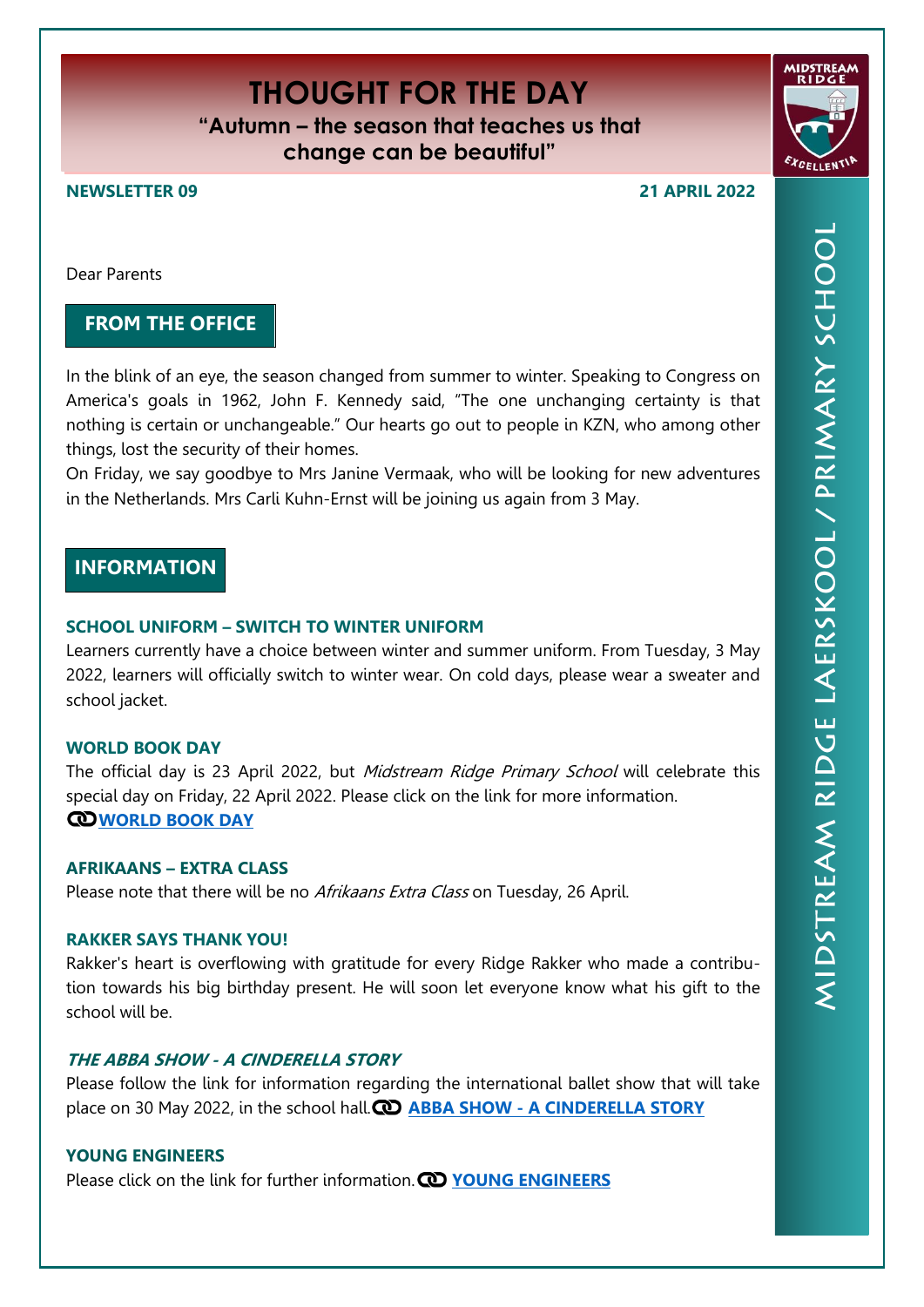# **THOUGHT FOR THE DAY**

**"Autumn – the season that teaches us that change can be beautiful"**

**NEWSLETTER 09 21 APRIL 2022**

Dear Parents

# **FROM THE OFFICE**

In the blink of an eye, the season changed from summer to winter. Speaking to Congress on America's goals in 1962, John F. Kennedy said, "The one unchanging certainty is that nothing is certain or unchangeable." Our hearts go out to people in KZN, who among other things, lost the security of their homes.

On Friday, we say goodbye to Mrs Janine Vermaak, who will be looking for new adventures in the Netherlands. Mrs Carli Kuhn-Ernst will be joining us again from 3 May.

# **INFORMATION**

# **SCHOOL UNIFORM – SWITCH TO WINTER UNIFORM**

Learners currently have a choice between winter and summer uniform. From Tuesday, 3 May 2022, learners will officially switch to winter wear. On cold days, please wear a sweater and school jacket.

## **WORLD BOOK DAY**

The official day is 23 April 2022, but Midstream Ridge Primary School will celebrate this special day on Friday, 22 April 2022. Please click on the link for more information. **[WORLD BOOK DAY](https://midstreamridgeprimary.co.za/wp-content/uploads/2022/04/World-Book-Day.pdf)**

#### **AFRIKAANS – EXTRA CLASS**

Please note that there will be no Afrikaans Extra Class on Tuesday, 26 April.

#### **RAKKER SAYS THANK YOU!**

Rakker's heart is overflowing with gratitude for every Ridge Rakker who made a contribution towards his big birthday present. He will soon let everyone know what his gift to the school will be.

## **THE ABBA SHOW - A CINDERELLA STORY**

Please follow the link for information regarding the international ballet show that will take place on 30 May 2022, in the school hall. **(C) ABBA SHOW - [A CINDERELLA STORY](https://midstreamridgeprimary.co.za/wp-content/uploads/2022/04/Mzansi_Ballet.jpg)** 

## **YOUNG ENGINEERS**

Please click on the link for further information. **@ YOUNG [ENGINEERS](https://midstreamridgeprimary.co.za/wp-content/uploads/2022/04/Midstream-YE.png)**